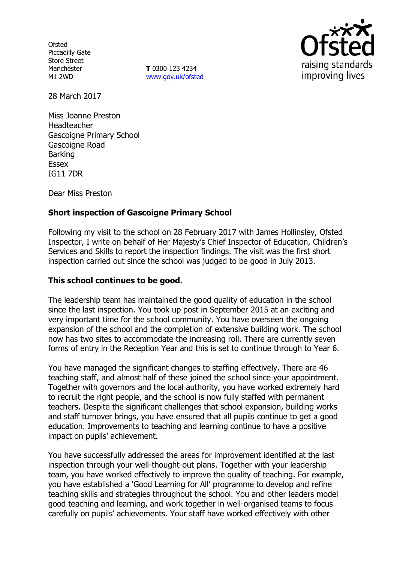**Ofsted** Piccadilly Gate Store Street Manchester M1 2WD

**T** 0300 123 4234 www.gov.uk/ofsted



28 March 2017

Miss Joanne Preston Headteacher Gascoigne Primary School Gascoigne Road Barking **Essex** IG11 7DR

Dear Miss Preston

# **Short inspection of Gascoigne Primary School**

Following my visit to the school on 28 February 2017 with James Hollinsley, Ofsted Inspector, I write on behalf of Her Majesty's Chief Inspector of Education, Children's Services and Skills to report the inspection findings. The visit was the first short inspection carried out since the school was judged to be good in July 2013.

#### **This school continues to be good.**

The leadership team has maintained the good quality of education in the school since the last inspection. You took up post in September 2015 at an exciting and very important time for the school community. You have overseen the ongoing expansion of the school and the completion of extensive building work. The school now has two sites to accommodate the increasing roll. There are currently seven forms of entry in the Reception Year and this is set to continue through to Year 6.

You have managed the significant changes to staffing effectively. There are 46 teaching staff, and almost half of these joined the school since your appointment. Together with governors and the local authority, you have worked extremely hard to recruit the right people, and the school is now fully staffed with permanent teachers. Despite the significant challenges that school expansion, building works and staff turnover brings, you have ensured that all pupils continue to get a good education. Improvements to teaching and learning continue to have a positive impact on pupils' achievement.

You have successfully addressed the areas for improvement identified at the last inspection through your well-thought-out plans. Together with your leadership team, you have worked effectively to improve the quality of teaching. For example, you have established a 'Good Learning for All' programme to develop and refine teaching skills and strategies throughout the school. You and other leaders model good teaching and learning, and work together in well-organised teams to focus carefully on pupils' achievements. Your staff have worked effectively with other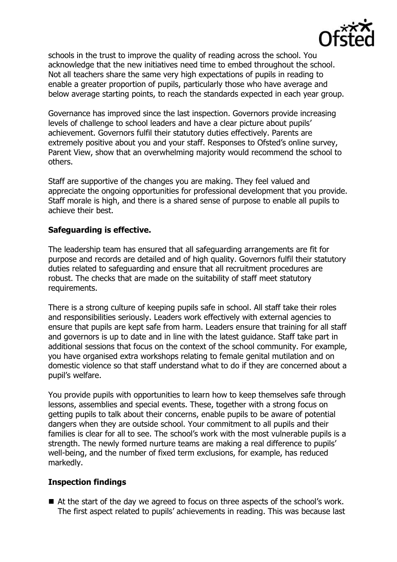

schools in the trust to improve the quality of reading across the school. You acknowledge that the new initiatives need time to embed throughout the school. Not all teachers share the same very high expectations of pupils in reading to enable a greater proportion of pupils, particularly those who have average and below average starting points, to reach the standards expected in each year group.

Governance has improved since the last inspection. Governors provide increasing levels of challenge to school leaders and have a clear picture about pupils' achievement. Governors fulfil their statutory duties effectively. Parents are extremely positive about you and your staff. Responses to Ofsted's online survey, Parent View, show that an overwhelming majority would recommend the school to others.

Staff are supportive of the changes you are making. They feel valued and appreciate the ongoing opportunities for professional development that you provide. Staff morale is high, and there is a shared sense of purpose to enable all pupils to achieve their best.

# **Safeguarding is effective.**

The leadership team has ensured that all safeguarding arrangements are fit for purpose and records are detailed and of high quality. Governors fulfil their statutory duties related to safeguarding and ensure that all recruitment procedures are robust. The checks that are made on the suitability of staff meet statutory requirements.

There is a strong culture of keeping pupils safe in school. All staff take their roles and responsibilities seriously. Leaders work effectively with external agencies to ensure that pupils are kept safe from harm. Leaders ensure that training for all staff and governors is up to date and in line with the latest guidance. Staff take part in additional sessions that focus on the context of the school community. For example, you have organised extra workshops relating to female genital mutilation and on domestic violence so that staff understand what to do if they are concerned about a pupil's welfare.

You provide pupils with opportunities to learn how to keep themselves safe through lessons, assemblies and special events. These, together with a strong focus on getting pupils to talk about their concerns, enable pupils to be aware of potential dangers when they are outside school. Your commitment to all pupils and their families is clear for all to see. The school's work with the most vulnerable pupils is a strength. The newly formed nurture teams are making a real difference to pupils' well-being, and the number of fixed term exclusions, for example, has reduced markedly.

### **Inspection findings**

■ At the start of the day we agreed to focus on three aspects of the school's work. The first aspect related to pupils' achievements in reading. This was because last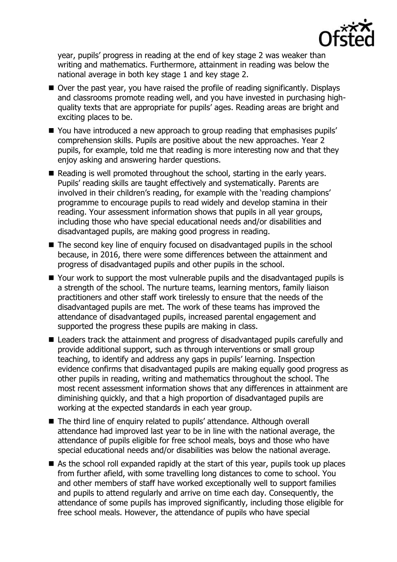

year, pupils' progress in reading at the end of key stage 2 was weaker than writing and mathematics. Furthermore, attainment in reading was below the national average in both key stage 1 and key stage 2.

- Over the past year, you have raised the profile of reading significantly. Displays and classrooms promote reading well, and you have invested in purchasing highquality texts that are appropriate for pupils' ages. Reading areas are bright and exciting places to be.
- You have introduced a new approach to group reading that emphasises pupils' comprehension skills. Pupils are positive about the new approaches. Year 2 pupils, for example, told me that reading is more interesting now and that they enjoy asking and answering harder questions.
- Reading is well promoted throughout the school, starting in the early years. Pupils' reading skills are taught effectively and systematically. Parents are involved in their children's reading, for example with the 'reading champions' programme to encourage pupils to read widely and develop stamina in their reading. Your assessment information shows that pupils in all year groups, including those who have special educational needs and/or disabilities and disadvantaged pupils, are making good progress in reading.
- The second key line of enquiry focused on disadvantaged pupils in the school because, in 2016, there were some differences between the attainment and progress of disadvantaged pupils and other pupils in the school.
- Your work to support the most vulnerable pupils and the disadvantaged pupils is a strength of the school. The nurture teams, learning mentors, family liaison practitioners and other staff work tirelessly to ensure that the needs of the disadvantaged pupils are met. The work of these teams has improved the attendance of disadvantaged pupils, increased parental engagement and supported the progress these pupils are making in class.
- Leaders track the attainment and progress of disadvantaged pupils carefully and provide additional support, such as through interventions or small group teaching, to identify and address any gaps in pupils' learning. Inspection evidence confirms that disadvantaged pupils are making equally good progress as other pupils in reading, writing and mathematics throughout the school. The most recent assessment information shows that any differences in attainment are diminishing quickly, and that a high proportion of disadvantaged pupils are working at the expected standards in each year group.
- The third line of enquiry related to pupils' attendance. Although overall attendance had improved last year to be in line with the national average, the attendance of pupils eligible for free school meals, boys and those who have special educational needs and/or disabilities was below the national average.
- As the school roll expanded rapidly at the start of this year, pupils took up places from further afield, with some travelling long distances to come to school. You and other members of staff have worked exceptionally well to support families and pupils to attend regularly and arrive on time each day. Consequently, the attendance of some pupils has improved significantly, including those eligible for free school meals. However, the attendance of pupils who have special